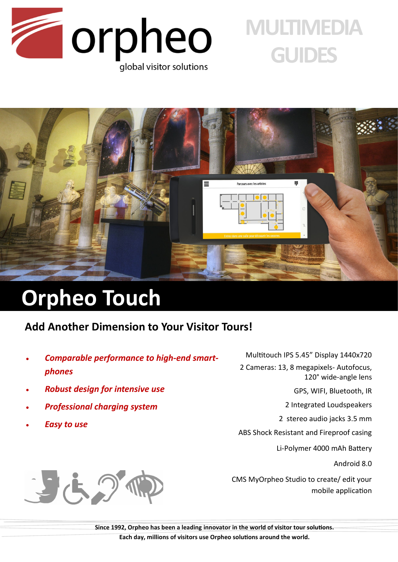

# **MULTIMEDIA GUIDES**



## **Orpheo Touch**

### **Add Another Dimension to Your Visitor Tours!**

- *Comparable performance to high-end smartphones*
- *Robust design for intensive use*
- *Professional charging system*
- *Easy to use*



2 Cameras: 13, 8 megapixels- Autofocus, 120° wide-angle lens

GPS, WIFI, Bluetooth, IR

2 Integrated Loudspeakers

2 stereo audio jacks 3.5 mm

ABS Shock Resistant and Fireproof casing

Li-Polymer 4000 mAh Battery

Android 8.0

CMS MyOrpheo Studio to create/ edit your mobile application